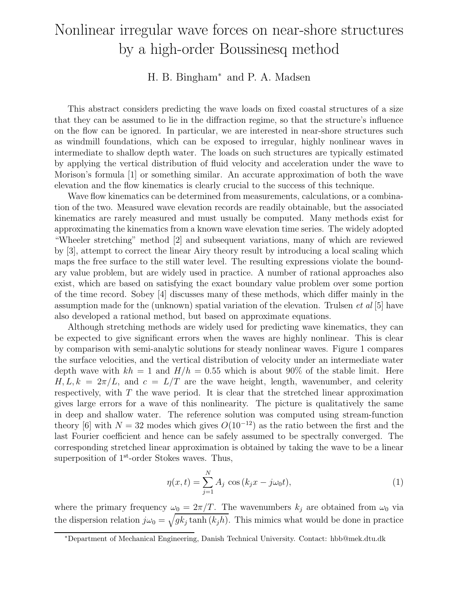# Nonlinear irregular wave forces on near-shore structures by a high-order Boussinesq method

### H. B. Bingham<sup>∗</sup> and P. A. Madsen

This abstract considers predicting the wave loads on fixed coastal structures of a size that they can be assumed to lie in the diffraction regime, so that the structure's influence on the flow can be ignored. In particular, we are interested in near-shore structures such as windmill foundations, which can be exposed to irregular, highly nonlinear waves in intermediate to shallow depth water. The loads on such structures are typically estimated by applying the vertical distribution of fluid velocity and acceleration under the wave to Morison's formula [1] or something similar. An accurate approximation of both the wave elevation and the flow kinematics is clearly crucial to the success of this technique.

Wave flow kinematics can be determined from measurements, calculations, or a combination of the two. Measured wave elevation records are readily obtainable, but the associated kinematics are rarely measured and must usually be computed. Many methods exist for approximating the kinematics from a known wave elevation time series. The widely adopted "Wheeler stretching" method [2] and subsequent variations, many of which are reviewed by [3], attempt to correct the linear Airy theory result by introducing a local scaling which maps the free surface to the still water level. The resulting expressions violate the boundary value problem, but are widely used in practice. A number of rational approaches also exist, which are based on satisfying the exact boundary value problem over some portion of the time record. Sobey [4] discusses many of these methods, which differ mainly in the assumption made for the (unknown) spatial variation of the elevation. Trulsen  $et al [5]$  have also developed a rational method, but based on approximate equations.

Although stretching methods are widely used for predicting wave kinematics, they can be expected to give significant errors when the waves are highly nonlinear. This is clear by comparison with semi-analytic solutions for steady nonlinear waves. Figure 1 compares the surface velocities, and the vertical distribution of velocity under an intermediate water depth wave with  $kh = 1$  and  $H/h = 0.55$  which is about 90% of the stable limit. Here  $H, L, k = 2\pi/L$ , and  $c = L/T$  are the wave height, length, wavenumber, and celerity respectively, with  $T$  the wave period. It is clear that the stretched linear approximation gives large errors for a wave of this nonlinearity. The picture is qualitatively the same in deep and shallow water. The reference solution was computed using stream-function theory [6] with  $N = 32$  modes which gives  $O(10^{-12})$  as the ratio between the first and the last Fourier coefficient and hence can be safely assumed to be spectrally converged. The corresponding stretched linear approximation is obtained by taking the wave to be a linear superposition of 1<sup>st</sup>-order Stokes waves. Thus,

$$
\eta(x,t) = \sum_{j=1}^{N} A_j \cos (k_j x - j\omega_0 t),
$$
\n(1)

where the primary frequency  $\omega_0 = 2\pi/T$ . The wavenumbers  $k_j$  are obtained from  $\omega_0$  via the dispersion relation  $j\omega_0 = \sqrt{g k_j \tanh(k_j h)}$ . This mimics what would be done in practice

<sup>∗</sup>Department of Mechanical Engineering, Danish Technical University. Contact: hbb@mek.dtu.dk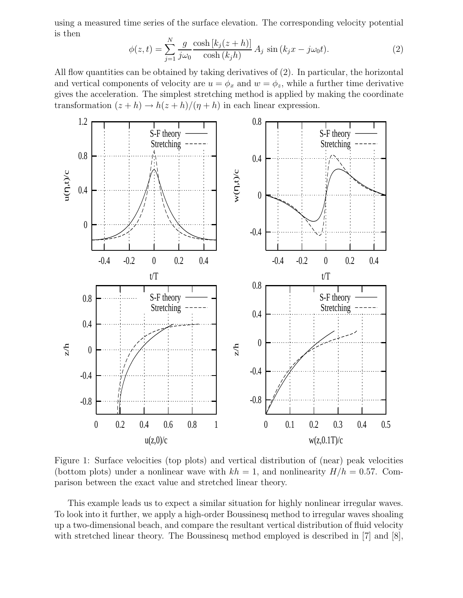using a measured time series of the surface elevation. The corresponding velocity potential is then

$$
\phi(z,t) = \sum_{j=1}^{N} \frac{g}{j\omega_0} \frac{\cosh\left[k_j(z+h)\right]}{\cosh\left(k_j h\right)} A_j \sin\left(k_j x - j\omega_0 t\right).
$$
\n(2)

All flow quantities can be obtained by taking derivatives of (2). In particular, the horizontal and vertical components of velocity are  $u = \phi_x$  and  $w = \phi_z$ , while a further time derivative gives the acceleration. The simplest stretching method is applied by making the coordinate transformation  $(z + h) \rightarrow h(z + h)/(\eta + h)$  in each linear expression.



Figure 1: Surface velocities (top plots) and vertical distribution of (near) peak velocities (bottom plots) under a nonlinear wave with  $kh = 1$ , and nonlinearity  $H/h = 0.57$ . Comparison between the exact value and stretched linear theory.

This example leads us to expect a similar situation for highly nonlinear irregular waves. To look into it further, we apply a high-order Boussinesq method to irregular waves shoaling up a two-dimensional beach, and compare the resultant vertical distribution of fluid velocity with stretched linear theory. The Boussinesq method employed is described in [7] and [8],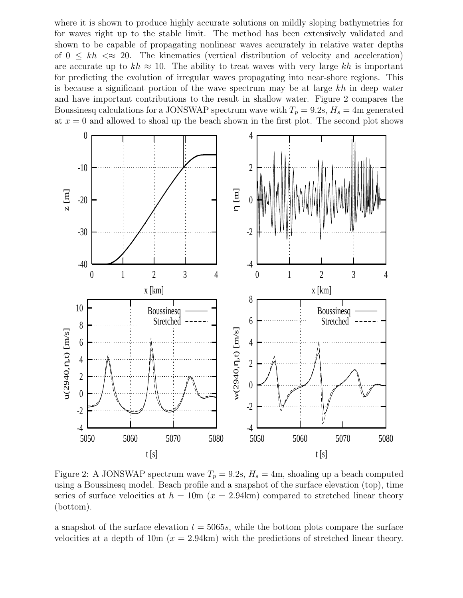where it is shown to produce highly accurate solutions on mildly sloping bathymetries for for waves right up to the stable limit. The method has been extensively validated and shown to be capable of propagating nonlinear waves accurately in relative water depths of  $0 \leq kh \ll 20$ . The kinematics (vertical distribution of velocity and acceleration) are accurate up to  $kh \approx 10$ . The ability to treat waves with very large kh is important for predicting the evolution of irregular waves propagating into near-shore regions. This is because a significant portion of the wave spectrum may be at large  $kh$  in deep water and have important contributions to the result in shallow water. Figure 2 compares the Boussinesq calculations for a JONSWAP spectrum wave with  $T_p = 9.2$ s,  $H_s = 4$ m generated at  $x = 0$  and allowed to shoal up the beach shown in the first plot. The second plot shows



Figure 2: A JONSWAP spectrum wave  $T_p = 9.2$ s,  $H_s = 4$ m, shoaling up a beach computed using a Boussinesq model. Beach profile and a snapshot of the surface elevation (top), time series of surface velocities at  $h = 10$ m ( $x = 2.94$ km) compared to stretched linear theory (bottom).

a snapshot of the surface elevation  $t = 5065s$ , while the bottom plots compare the surface velocities at a depth of  $10m (x = 2.94km)$  with the predictions of stretched linear theory.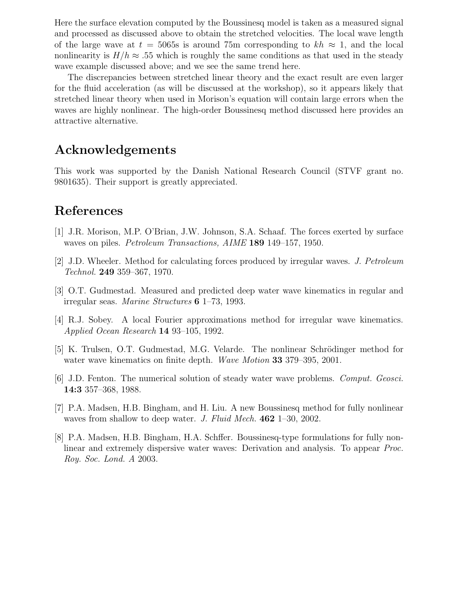Here the surface elevation computed by the Boussinesq model is taken as a measured signal and processed as discussed above to obtain the stretched velocities. The local wave length of the large wave at  $t = 5065s$  is around 75m corresponding to  $kh \approx 1$ , and the local nonlinearity is  $H/h \approx 0.55$  which is roughly the same conditions as that used in the steady wave example discussed above; and we see the same trend here.

The discrepancies between stretched linear theory and the exact result are even larger for the fluid acceleration (as will be discussed at the workshop), so it appears likely that stretched linear theory when used in Morison's equation will contain large errors when the waves are highly nonlinear. The high-order Boussinesq method discussed here provides an attractive alternative.

## Acknowledgements

This work was supported by the Danish National Research Council (STVF grant no. 9801635). Their support is greatly appreciated.

## References

- [1] J.R. Morison, M.P. O'Brian, J.W. Johnson, S.A. Schaaf. The forces exerted by surface waves on piles. Petroleum Transactions, AIME 189 149–157, 1950.
- [2] J.D. Wheeler. Method for calculating forces produced by irregular waves. J. Petroleum Technol. 249 359–367, 1970.
- [3] O.T. Gudmestad. Measured and predicted deep water wave kinematics in regular and irregular seas. Marine Structures 6 1–73, 1993.
- [4] R.J. Sobey. A local Fourier approximations method for irregular wave kinematics. Applied Ocean Research 14 93–105, 1992.
- [5] K. Trulsen, O.T. Gudmestad, M.G. Velarde. The nonlinear Schrödinger method for water wave kinematics on finite depth. Wave Motion 33 379–395, 2001.
- [6] J.D. Fenton. The numerical solution of steady water wave problems. Comput. Geosci. 14:3 357–368, 1988.
- [7] P.A. Madsen, H.B. Bingham, and H. Liu. A new Boussinesq method for fully nonlinear waves from shallow to deep water. J. Fluid Mech. 462 1–30, 2002.
- [8] P.A. Madsen, H.B. Bingham, H.A. Schffer. Boussinesq-type formulations for fully nonlinear and extremely dispersive water waves: Derivation and analysis. To appear Proc. Roy. Soc. Lond. A 2003.